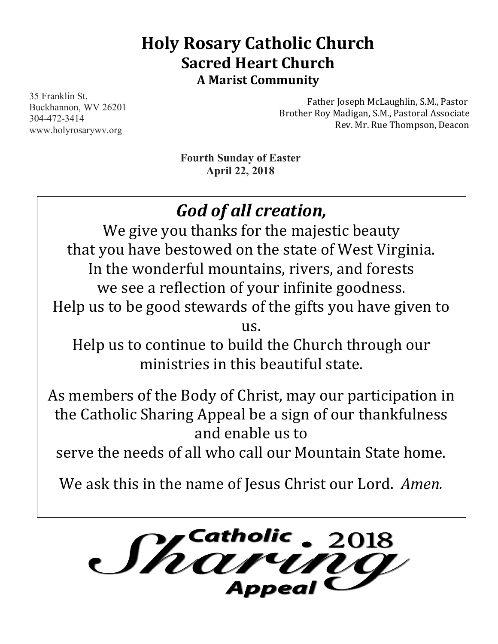# **Holy Rosary Catholic Church Sacred Heart Church A Marist Community**

35 Franklin St. Buckhannon, WV 26201 304-472-3414 www.holyrosarywv.org

Father Joseph McLaughlin, S.M., Pastor Brother Roy Madigan, S.M., Pastoral Associate Rev. Mr. Rue Thompson, Deacon

**Fourth Sunday of Easter April 22, 2018**

# *God of all creation,*

We give you thanks for the majestic beauty that you have bestowed on the state of West Virginia. In the wonderful mountains, rivers, and forests we see a reflection of your infinite goodness. Help us to be good stewards of the gifts you have given to

us.

Help us to continue to build the Church through our ministries in this beautiful state.

As members of the Body of Christ, may our participation in the Catholic Sharing Appeal be a sign of our thankfulness and enable us to

serve the needs of all who call our Mountain State home.

We ask this in the name of Jesus Christ our Lord. *Amen.* 

*Shaw*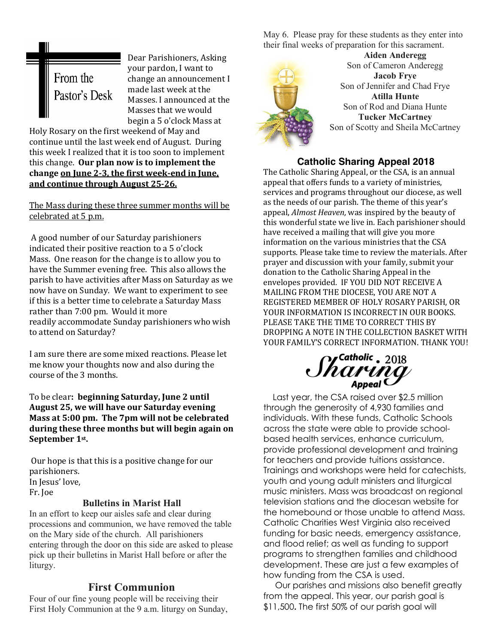

Dear Parishioners, Asking your pardon, I want to change an announcement I made last week at the Masses. I announced at the Masses that we would begin a 5 o'clock Mass at

Holy Rosary on the first weekend of May and continue until the last week end of August. During this week I realized that it is too soon to implement this change. Our plan now is to implement the change on June 2-3, the first week-end in June, and continue through August 25-26.

The Mass during these three summer months will be celebrated at 5 p.m.

A good number of our Saturday parishioners indicated their positive reaction to a 5 o'clock Mass. One reason for the change is to allow you to have the Summer evening free. This also allows the parish to have activities after Mass on Saturday as we now have on Sunday. We want to experiment to see if this is a better time to celebrate a Saturday Mass rather than 7:00 pm. Would it more readily accommodate Sunday parishioners who wish to attend on Saturday?

I am sure there are some mixed reactions. Please let me know your thoughts now and also during the course of the 3 months.

To be clear: **beginning Saturday, June 2 until** August 25, we will have our Saturday evening **Mass at 5:00 pm. The 7pm will not be celebrated** during these three months but will begin again on September 1<sup>st</sup>.

Our hope is that this is a positive change for our parishioners. In Jesus' love, Fr. Joe

#### **Bulletins in Marist Hall**

In an effort to keep our aisles safe and clear during processions and communion, we have removed the table on the Mary side of the church. All parishioners entering through the door on this side are asked to please pick up their bulletins in Marist Hall before or after the liturgy.

# **First Communion**

Four of our fine young people will be receiving their First Holy Communion at the 9 a.m. liturgy on Sunday, May 6. Please pray for these students as they enter into their final weeks of preparation for this sacrament.



**Aiden Anderegg** Son of Cameron Anderegg **Jacob Frye** Son of Jennifer and Chad Frye **Atilla Hunte** Son of Rod and Diana Hunte **Tucker McCartney** Son of Scotty and Sheila McCartney

# **Catholic Sharing Appeal 2018**

The Catholic Sharing Appeal, or the CSA, is an annual appeal that offers funds to a variety of ministries, services and programs throughout our diocese, as well as the needs of our parish. The theme of this year's appeal, *Almost Heaven*, was inspired by the beauty of this wonderful state we live in. Each parishioner should have received a mailing that will give you more information on the various ministries that the CSA supports. Please take time to review the materials. After prayer and discussion with your family, submit your donation to the Catholic Sharing Appeal in the envelopes provided. IF YOU DID NOT RECEIVE A MAILING FROM THE DIOCESE, YOU ARE NOT A REGISTERED MEMBER OF HOLY ROSARY PARISH, OR YOUR INFORMATION IS INCORRECT IN OUR BOOKS. PLEASE TAKE THE TIME TO CORRECT THIS BY DROPPING A NOTE IN THE COLLECTION BASKET WITH YOUR FAMILY'S CORRECT INFORMATION. THANK YOU!

# $\mathcal{M}^{\text{Catholic}}_{\text{Appendi}}$

 Last year, the CSA raised over \$2.5 million through the generosity of 4,930 families and individuals. With these funds, Catholic Schools across the state were able to provide schoolbased health services, enhance curriculum, provide professional development and training for teachers and provide tuitions assistance. Trainings and workshops were held for catechists, youth and young adult ministers and liturgical music ministers. Mass was broadcast on regional television stations and the diocesan website for the homebound or those unable to attend Mass. Catholic Charities West Virginia also received funding for basic needs, emergency assistance, and flood relief; as well as funding to support programs to strengthen families and childhood development. These are just a few examples of how funding from the CSA is used.

 Our parishes and missions also benefit greatly from the appeal. This year, our parish goal is \$11,500**.** The first 50% of our parish goal will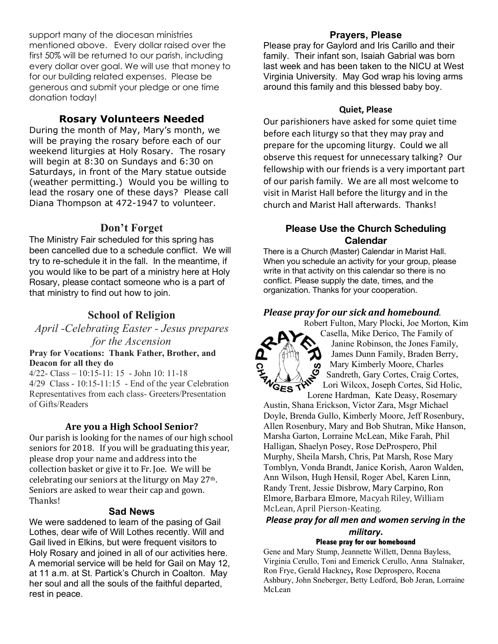support many of the diocesan ministries mentioned above. Every dollar raised over the first 50% will be returned to our parish, including every dollar over goal. We will use that money to for our building related expenses. Please be generous and submit your pledge or one time donation today!

# **Rosary Volunteers Needed**

During the month of May, Mary's month, we will be praying the rosary before each of our weekend liturgies at Holy Rosary. The rosary will begin at 8:30 on Sundays and 6:30 on Saturdays, in front of the Mary statue outside (weather permitting.) Would you be willing to lead the rosary one of these days? Please call Diana Thompson at 472-1947 to volunteer.

# **Don't Forget**

The Ministry Fair scheduled for this spring has been cancelled due to a schedule conflict. We will try to re-schedule it in the fall. In the meantime, if you would like to be part of a ministry here at Holy Rosary, please contact someone who is a part of that ministry to find out how to join.

# **School of Religion**

*April -Celebrating Easter - Jesus prepares* 

# *for the Ascension*

#### **Pray for Vocations: Thank Father, Brother, and Deacon for all they do**

4/22- Class – 10:15-11: 15 - John 10: 11-18 4/29 Class - 10:15-11:15 - End of the year Celebration Representatives from each class- Greeters/Presentation of Gifts/Readers

# Are you a High School Senior?

Our parish is looking for the names of our high school seniors for 2018. If you will be graduating this year, please drop your name and address into the collection basket or give it to Fr. Joe. We will be celebrating our seniors at the liturgy on May  $27<sup>th</sup>$ . Seniors are asked to wear their cap and gown. Thanks! 

#### **Sad News**

We were saddened to learn of the pasing of Gail Lothes, dear wife of Will Lothes recently. Will and Gail lived in Elkins, but were frequent visitors to Holy Rosary and joined in all of our activities here. A memorial service will be held for Gail on May 12, at 11 a.m. at St. Partick's Church in Coalton. May her soul and all the souls of the faithful departed, rest in peace.

### **Prayers, Please**

Please pray for Gaylord and Iris Carillo and their family. Their infant son, Isaiah Gabrial was born last week and has been taken to the NICU at West Virginia University. May God wrap his loving arms around this family and this blessed baby boy.

### **Quiet, Please**

Our parishioners have asked for some quiet time before each liturgy so that they may pray and prepare for the upcoming liturgy. Could we all observe this request for unnecessary talking? Our fellowship with our friends is a very important part of our parish family. We are all most welcome to visit in Marist Hall before the liturgy and in the church and Marist Hall afterwards. Thanks!

# **Please Use the Church Scheduling Calendar**

There is a Church (Master) Calendar in Marist Hall. When you schedule an activity for your group, please write in that activity on this calendar so there is no conflict. Please supply the date, times, and the organization. Thanks for your cooperation.

## *Please pray for our sick and homebound.*



Robert Fulton, Mary Plocki, Joe Morton, Kim Casella, Mike Derico, The Family of Janine Robinson, the Jones Family, James Dunn Family, Braden Berry, Mary Kimberly Moore, Charles Sandreth, Gary Cortes, Craig Cortes, Lori Wilcox, Joseph Cortes, Sid Holic, Lorene Hardman, Kate Deasy, Rosemary

Austin, Shana Erickson, Victor Zara, Msgr Michael Doyle, Brenda Gullo, Kimberly Moore, Jeff Rosenbury, Allen Rosenbury, Mary and Bob Shutran, Mike Hanson, Marsha Garton, Lorraine McLean, Mike Farah, Phil Halligan, Shaelyn Posey, Rose DeProspero, Phil Murphy, Sheila Marsh, Chris, Pat Marsh, Rose Mary Tomblyn, Vonda Brandt, Janice Korish, Aaron Walden, Ann Wilson, Hugh Hensil, Roger Abel, Karen Linn, Randy Trent, Jessie Disbrow, Mary Carpino, Ron Elmore, Barbara Elmore, Macyah Riley, William McLean, April Pierson-Keating.

# *Please pray for all men and women serving in the military***.**

#### **Please pray for our homebound**

Gene and Mary Stump, Jeannette Willett, Denna Bayless, Virginia Cerullo, Toni and Emerick Cerullo, Anna Stalnaker, Ron Frye, Gerald Hackney**,** Rose Deprospero, Rocena Ashbury, John Sneberger, Betty Ledford, Bob Jeran, Lorraine McLean